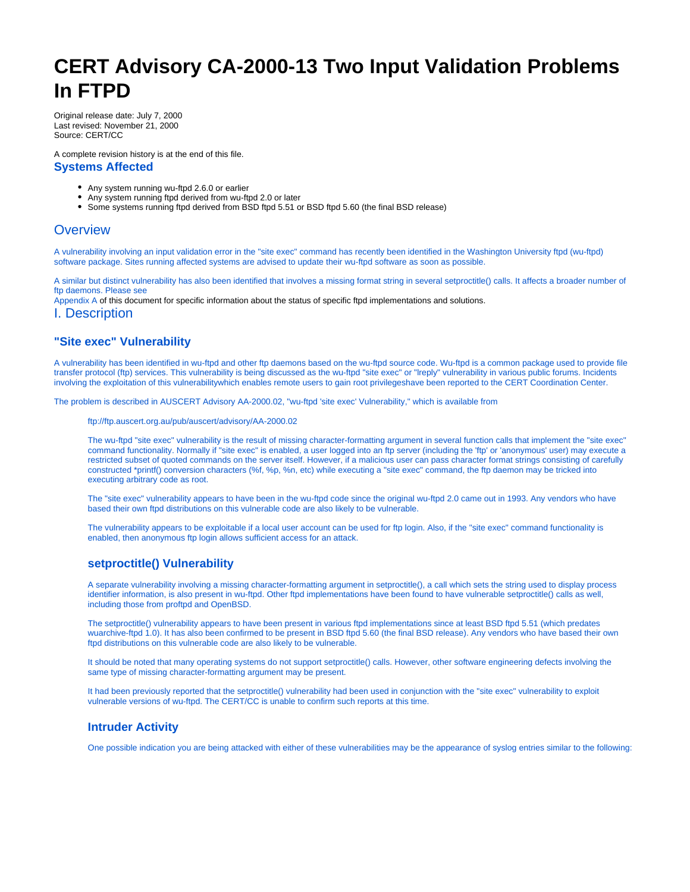# <span id="page-0-0"></span>**CERT Advisory CA-2000-13 Two Input Validation Problems In FTPD**

Original release date: July 7, 2000 Last revised: November 21, 2000 Source: CERT/CC

A complete revision history is at the end of this file. **Systems Affected**

- Any system running wu-ftpd 2.6.0 or earlier
- Any system running ftpd derived from wu-ftpd 2.0 or later
- Some systems running ftpd derived from BSD ftpd 5.51 or BSD ftpd 5.60 (the final BSD release)

# **Overview**

A vulnerability involving an input validation error in the "site exec" command has recently been identified in the Washington University ftpd (wu-ftpd) software package. Sites running affected systems are advised to update their wu-ftpd software as soon as possible.

A similar but distinct vulnerability has also been identified that involves a missing format string in several setproctitle() calls. It affects a broader number of ftp daemons. Please see

[Appendix A](#page-0-0) of this document for specific information about the status of specific ftpd implementations and solutions.

I. Description

## **"Site exec" Vulnerability**

A vulnerability has been identified in wu-ftpd and other ftp daemons based on the wu-ftpd source code. Wu-ftpd is a common package used to provide file transfer protocol (ftp) services. This vulnerability is being discussed as the wu-ftpd "site exec" or "lreply" vulnerability in various public forums. Incidents involving the exploitation of this vulnerabilitywhich enables remote users to gain root privilegeshave been reported to the CERT Coordination Center.

The problem is described in AUSCERT Advisory AA-2000.02, "wu-ftpd 'site exec' Vulnerability," which is available from

<ftp://ftp.auscert.org.au/pub/auscert/advisory/AA-2000.02>

The wu-ftpd "site exec" vulnerability is the result of missing character-formatting argument in several function calls that implement the "site exec" command functionality. Normally if "site exec" is enabled, a user logged into an ftp server (including the 'ftp' or 'anonymous' user) may execute a restricted subset of quoted commands on the server itself. However, if a malicious user can pass character format strings consisting of carefully constructed \*printf() conversion characters (%f, %p, %n, etc) while executing a "site exec" command, the ftp daemon may be tricked into executing arbitrary code as root.

The "site exec" vulnerability appears to have been in the wu-ftpd code since the original wu-ftpd 2.0 came out in 1993. Any vendors who have based their own ftpd distributions on this vulnerable code are also likely to be vulnerable.

The vulnerability appears to be exploitable if a local user account can be used for ftp login. Also, if the "site exec" command functionality is enabled, then anonymous ftp login allows sufficient access for an attack.

# **setproctitle() Vulnerability**

A separate vulnerability involving a missing character-formatting argument in setproctitle(), a call which sets the string used to display process identifier information, is also present in wu-ftpd. Other ftpd implementations have been found to have vulnerable setproctitle() calls as well, including those from proftpd and OpenBSD.

The setproctitle() vulnerability appears to have been present in various ftpd implementations since at least BSD ftpd 5.51 (which predates wuarchive-ftpd 1.0). It has also been confirmed to be present in BSD ftpd 5.60 (the final BSD release). Any vendors who have based their own ftpd distributions on this vulnerable code are also likely to be vulnerable.

It should be noted that many operating systems do not support setproctitle() calls. However, other software engineering defects involving the same type of missing character-formatting argument may be present.

It had been previously reported that the setproctitle() vulnerability had been used in conjunction with the "site exec" vulnerability to exploit vulnerable versions of wu-ftpd. The CERT/CC is unable to confirm such reports at this time.

## **Intruder Activity**

One possible indication you are being attacked with either of these vulnerabilities may be the appearance of syslog entries similar to the following: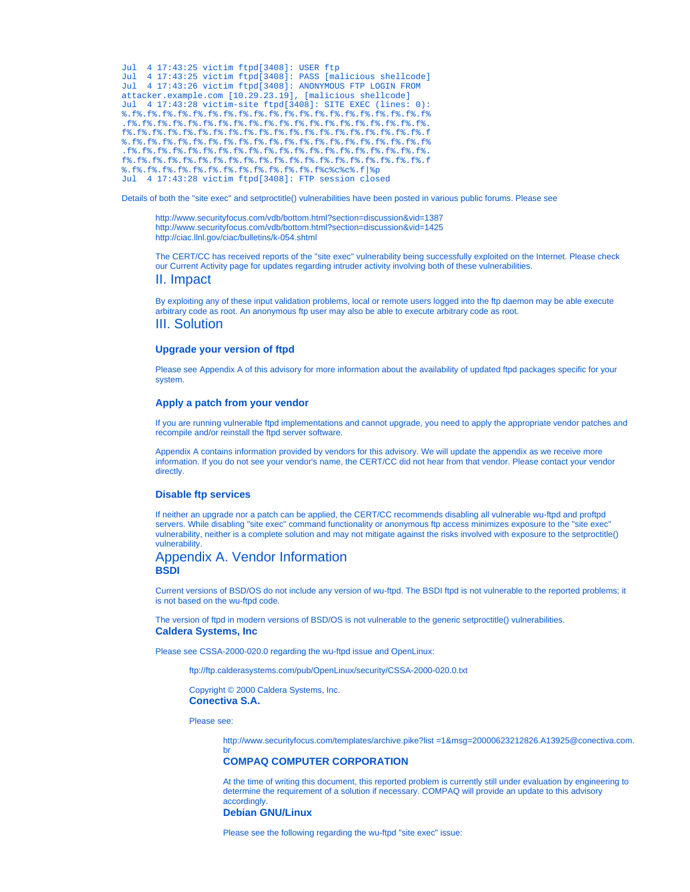```
Jul 4 17:43:25 victim ftpd[3408]: USER ftp
Jul 4 17:43:25 victim ftpd[3408]: PASS [malicious shellcode]
Jul 4 17:43:26 victim ftpd[3408]: ANONYMOUS FTP LOGIN FROM
attacker.example.com [10.29.23.19], [malicious shellcode]
Jul 4 17:43:28 victim-site ftpd[3408]: SITE EXEC (lines: 0):
%.f%.f%.f%.f%.f%.f%.f%.f%.f%.f%.f%.f%.f%.f%.f%.f%.f%.f%.f%.f%
.f%.f%.f%.f%.f%.f%.f%.f%.f%.f%.f%.f%.f%.f%.f%.f%.f%.f%.f%.f%.
f%.f%.f%.f%.f%.f%.f%.f%.f%.f%.f%.f%.f%.f%.f%.f%.f%.f%.f%.f%.f
%.f%.f%.f%.f%.f%.f%.f%.f%.f%.f%.f%.f%.f%.f%.f%.f%.f%.f%.f%.f%
.f%.f%.f%.f%.f%.f%.f%.f%.f%.f%.f%.f%.f%.f%.f%.f%.f%.f%.f%.f%.
f%.f%.f%.f%.f%.f%.f%.f%.f%.f%.f%.f%.f%.f%.f%.f%.f%.f%.f%.f%.f
%.f%.f%.f%.f%.f%.f%.f%.f%.f%.f%.f%.f%.f%c%c%c%.f|%p
Jul 4 17:43:28 victim ftpd[3408]: FTP session closed
```
Details of both the "site exec" and setproctitle() vulnerabilities have been posted in various public forums. Please see

<http://www.securityfocus.com/vdb/bottom.html?section=discussion&vid=1387> <http://www.securityfocus.com/vdb/bottom.html?section=discussion&vid=1425> <http://ciac.llnl.gov/ciac/bulletins/k-054.shtml>

The CERT/CC has received reports of the "site exec" vulnerability being successfully exploited on the Internet. Please check our [Current Activity](http://www.cert.org/current/current_activity.html) page for updates regarding intruder activity involving both of these vulnerabilities.

II. Impact

By exploiting any of these input validation problems, local or remote users logged into the ftp daemon may be able execute arbitrary code as root. An anonymous ftp user may also be able to execute arbitrary code as root. III. Solution

## **Upgrade your version of ftpd**

Please see [Appendix A](#page-0-0) of this advisory for more information about the availability of updated ftpd packages specific for your system.

## **Apply a patch from your vendor**

If you are running vulnerable ftpd implementations and cannot upgrade, you need to apply the appropriate vendor patches and recompile and/or reinstall the ftpd server software.

[Appendix A](#page-0-0) contains information provided by vendors for this advisory. We will update the appendix as we receive more information. If you do not see your vendor's name, the CERT/CC did not hear from that vendor. Please contact your vendor directly.

## **Disable ftp services**

If neither an upgrade nor a patch can be applied, the CERT/CC recommends disabling all vulnerable wu-ftpd and proftpd servers. While disabling "site exec" command functionality or anonymous ftp access minimizes exposure to the "site exec" vulnerability, neither is a complete solution and may not mitigate against the risks involved with exposure to the setproctitle() vulnerability.

# Appendix A. Vendor Information **BSDI**

Current versions of BSD/OS do not include any version of wu-ftpd. The BSDI ftpd is not vulnerable to the reported problems; it is not based on the wu-ftpd code.

The version of ftpd in modern versions of BSD/OS is not vulnerable to the generic setproctitle() vulnerabilities. **Caldera Systems, Inc**

Please see CSSA-2000-020.0 regarding the wu-ftpd issue and OpenLinux:

<ftp://ftp.calderasystems.com/pub/OpenLinux/security/CSSA-2000-020.0.txt>

Copyright © 2000 Caldera Systems, Inc. **Conectiva S.A.**

Please see:

[br](http://www.securityfocus.com/templates/archive.pike?list=1&msg=20000623212826.A13925@conectiva.com.br)

[http://www.securityfocus.com/templates/archive.pike?list =1&msg=20000623212826.A13925@conectiva.com.](http://www.securityfocus.com/templates/archive.pike?list=1&msg=20000623212826.A13925@conectiva.com.br)

## **COMPAQ COMPUTER CORPORATION**

At the time of writing this document, this reported problem is currently still under evaluation by engineering to determine the requirement of a solution if necessary. COMPAQ will provide an update to this advisory **accordingly** 

## **Debian GNU/Linux**

Please see the following regarding the wu-ftpd "site exec" issue: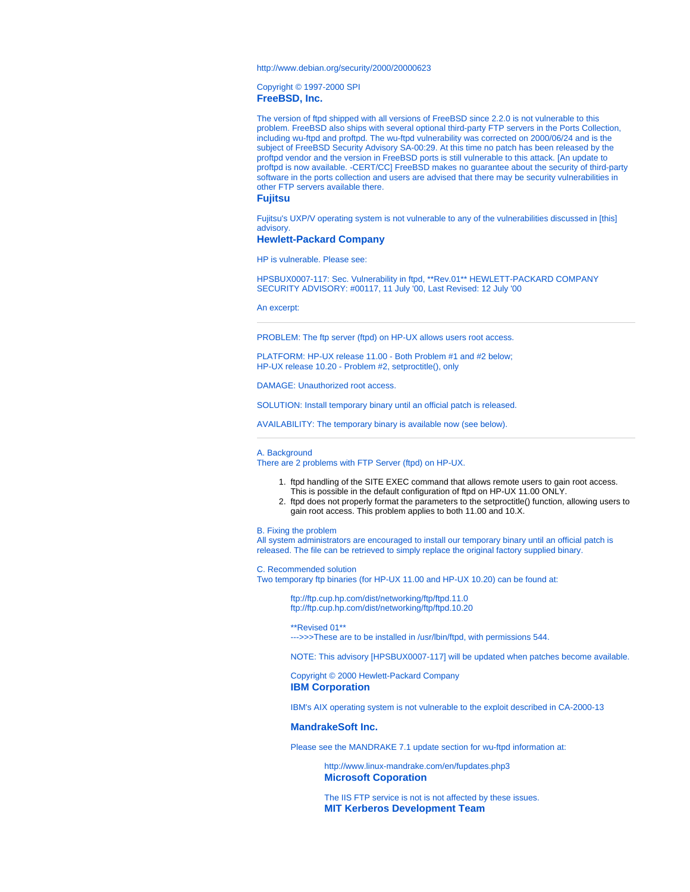<http://www.debian.org/security/2000/20000623>

Copyright © 1997-2000 [SPI](http://www.spi-inc.org/) **FreeBSD, Inc.**

The version of ftpd shipped with all versions of FreeBSD since 2.2.0 is not vulnerable to this problem. FreeBSD also ships with several optional third-party FTP servers in the Ports Collection, including wu-ftpd and proftpd. The wu-ftpd vulnerability was corrected on 2000/06/24 and is the subject of [FreeBSD Security Advisory SA-00:29](ftp://ftp.FreeBSD.org/pub/FreeBSD/CERT/advisories/FreeBSD-SA-00%3A29.wu-ftpd.asc.v1.1). At this time no patch has been released by the proftpd vendor and the version in FreeBSD ports is still vulnerable to this attack. [An [update](#page-0-0) to proftpd is now available. -CERT/CC] FreeBSD makes no guarantee about the security of third-party software in the ports collection and users are advised that there may be security vulnerabilities in other FTP servers available there.

## **Fujitsu**

Fujitsu's UXP/V operating system is not vulnerable to any of the vulnerabilities discussed in [this] advisory.

#### **Hewlett-Packard Company**

HP is vulnerable. Please see:

HPSBUX0007-117: Sec. Vulnerability in ftpd, \*\*Rev.01\*\* HEWLETT-PACKARD COMPANY SECURITY ADVISORY: #00117, 11 July '00, Last Revised: 12 July '00

#### An excerpt:

PROBLEM: The ftp server (ftpd) on HP-UX allows users root access.

PLATFORM: HP-UX release 11.00 - Both Problem #1 and #2 below; HP-UX release 10.20 - Problem #2, setproctitle(), only

DAMAGE: Unauthorized root access.

SOLUTION: Install temporary binary until an official patch is released.

AVAILABILITY: The temporary binary is available now (see below).

#### A. Background

There are 2 problems with FTP Server (ftpd) on HP-UX.

- 1. ftpd handling of the SITE EXEC command that allows remote users to gain root access.
- This is possible in the default configuration of ftpd on HP-UX 11.00 ONLY.
- 2. ftpd does not properly format the parameters to the setproctitle() function, allowing users to gain root access. This problem applies to both 11.00 and 10.X.

#### B. Fixing the problem

All system administrators are encouraged to install our temporary binary until an official patch is released. The file can be retrieved to simply replace the original factory supplied binary.

C. Recommended solution

Two temporary ftp binaries (for HP-UX 11.00 and HP-UX 10.20) can be found at:

<ftp://ftp.cup.hp.com/dist/networking/ftp/ftpd.11.0> <ftp://ftp.cup.hp.com/dist/networking/ftp/ftpd.10.20>

\*\*Revised 01\*\* --->>>These are to be installed in /usr/lbin/ftpd, with permissions 544.

NOTE: This advisory [HPSBUX0007-117] will be updated when patches become available.

Copyright © 2000 Hewlett-Packard Company **IBM Corporation**

IBM's AIX operating system is not vulnerable to the exploit described in CA-2000-13

### **MandrakeSoft Inc.**

Please see the MANDRAKE 7.1 update section for wu-ftpd information at:

<http://www.linux-mandrake.com/en/fupdates.php3> **Microsoft Coporation**

The IIS FTP service is not is not affected by these issues. **MIT Kerberos Development Team**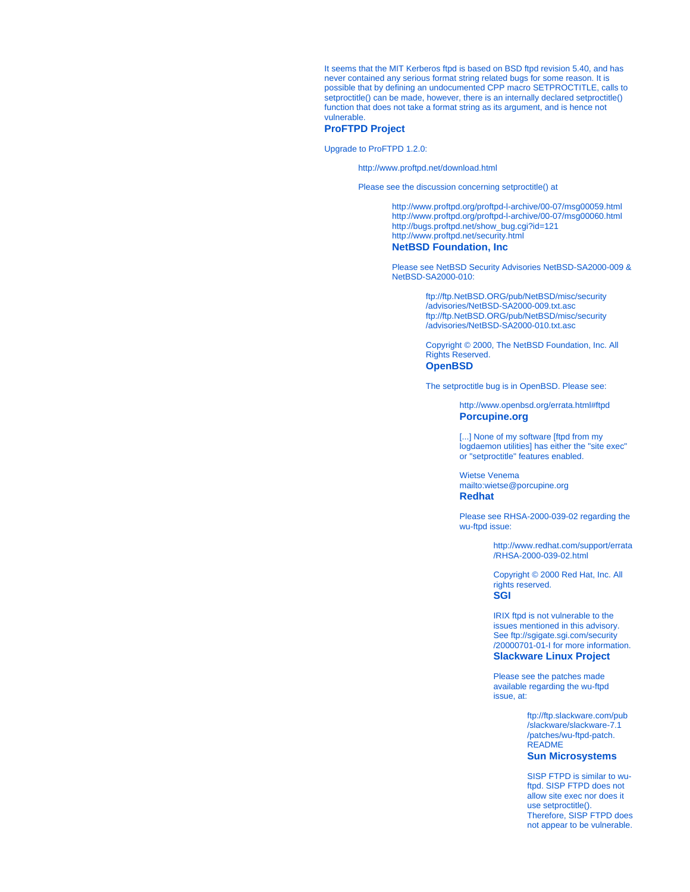It seems that the MIT Kerberos ftpd is based on BSD ftpd revision 5.40, and has never contained any serious format string related bugs for some reason. It is possible that by defining an undocumented CPP macro SETPROCTITLE, calls to setproctitle() can be made, however, there is an internally declared setproctitle() function that does not take a format string as its argument, and is hence not vulnerable.

## **ProFTPD Project**

Upgrade to ProFTPD 1.2.0:

<http://www.proftpd.net/download.html>

Please see the discussion concerning setproctitle() at

<http://www.proftpd.org/proftpd-l-archive/00-07/msg00059.html> <http://www.proftpd.org/proftpd-l-archive/00-07/msg00060.html> [http://bugs.proftpd.net/show\\_bug.cgi?id=121](http://bugs.proftpd.net/show_bug.cgi?id=121) <http://www.proftpd.net/security.html> **NetBSD Foundation, Inc**

Please see NetBSD Security Advisories NetBSD-SA2000-009 & NetBSD-SA2000-010:

> [ftp://ftp.NetBSD.ORG/pub/NetBSD/misc/security](ftp://ftp.NetBSD.ORG/pub/NetBSD/misc/security/advisories/NetBSD-SA2000-009.txt.asc) [/advisories/NetBSD-SA2000-009.txt.asc](ftp://ftp.NetBSD.ORG/pub/NetBSD/misc/security/advisories/NetBSD-SA2000-009.txt.asc) [ftp://ftp.NetBSD.ORG/pub/NetBSD/misc/security](ftp://ftp.NetBSD.ORG/pub/NetBSD/misc/security/advisories/NetBSD-SA2000-010.txt.asc) [/advisories/NetBSD-SA2000-010.txt.asc](ftp://ftp.NetBSD.ORG/pub/NetBSD/misc/security/advisories/NetBSD-SA2000-010.txt.asc)

Copyright © 2000, The NetBSD Foundation, Inc. All Rights Reserved. **OpenBSD**

The setproctitle bug is in OpenBSD. Please see:

<http://www.openbsd.org/errata.html#ftpd> **Porcupine.org**

[...] None of my software [ftpd from my [logdaemon](ftp://ftp.porcupine.org/pub/security/index.html#software) utilities] has either the "site exec" or "setproctitle" features enabled.

Wietse Venema <mailto:wietse@porcupine.org> **Redhat**

Please see RHSA-2000-039-02 regarding the wu-ftpd issue:

> [http://www.redhat.com/support/errata](http://www.redhat.com/support/errata/RHSA-2000-039-02.html) [/RHSA-2000-039-02.html](http://www.redhat.com/support/errata/RHSA-2000-039-02.html)

Copyright © 2000 Red Hat, Inc. All rights reserved. **SGI**

IRIX ftpd is not vulnerable to the issues mentioned in this advisory. See [ftp://sgigate.sgi.com/security](ftp://sgigate.sgi.com/security/20000701-01-I) [/20000701-01-I](ftp://sgigate.sgi.com/security/20000701-01-I) for more information. **Slackware Linux Project**

Please see the patches made available regarding the wu-ftpd issue, at:

> [ftp://ftp.slackware.com/pub](ftp://ftp.slackware.com/pub/slackware/slackware-7.1/patches/wu-ftpd-patch.README) [/slackware/slackware-7.1](ftp://ftp.slackware.com/pub/slackware/slackware-7.1/patches/wu-ftpd-patch.README) [/patches/wu-ftpd-patch.](ftp://ftp.slackware.com/pub/slackware/slackware-7.1/patches/wu-ftpd-patch.README) [README](ftp://ftp.slackware.com/pub/slackware/slackware-7.1/patches/wu-ftpd-patch.README) **Sun Microsystems**

SISP FTPD is similar to wuftpd. SISP FTPD does not allow site exec nor does it use setproctitle(). Therefore, SISP FTPD does not appear to be vulnerable.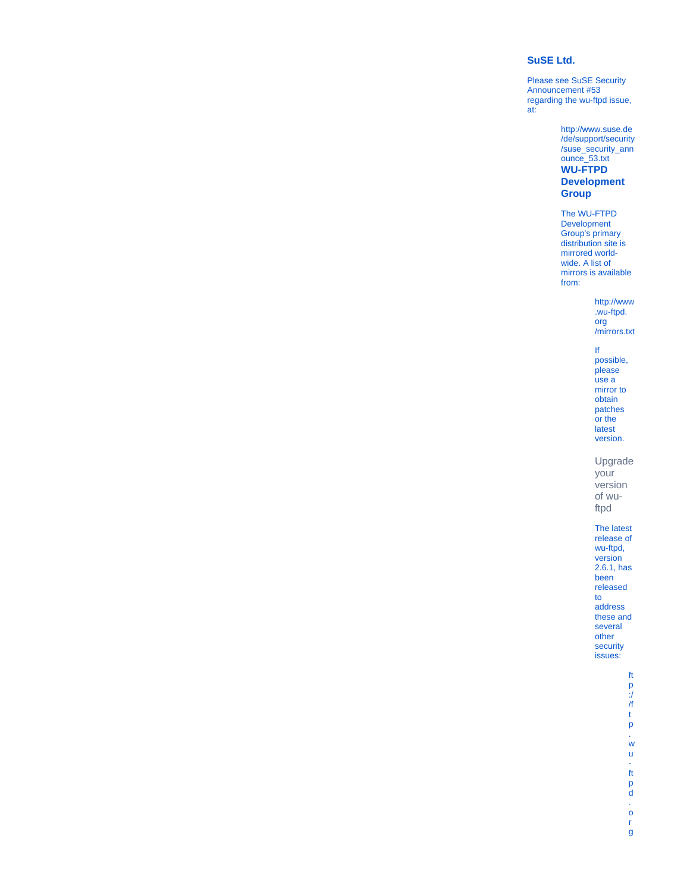## **SuSE Ltd.**

Please see SuSE Security Announcement #53 regarding the wu-ftpd issue, at:

> [http://www.suse.de](http://www.suse.de/de/support/security/suse_security_announce_53.txt) [/de/support/security](http://www.suse.de/de/support/security/suse_security_announce_53.txt) [/suse\\_security\\_ann](http://www.suse.de/de/support/security/suse_security_announce_53.txt) [ounce\\_53.txt](http://www.suse.de/de/support/security/suse_security_announce_53.txt) **WU-FTPD Development Group**

The WU-FTPD Development Group's primary distribution site is mirrored worldwide. A list of mirrors is available from:

> [http://www](http://www.wu-ftpd.org/mirrors.txt) [.wu-ftpd.](http://www.wu-ftpd.org/mirrors.txt) [org](http://www.wu-ftpd.org/mirrors.txt) [/mirrors.txt](http://www.wu-ftpd.org/mirrors.txt)

#### If possible, please use a mirror to obtain patches or the latest version.

Upgrade your

version of wuftpd

The latest

release of wu-ftpd, version 2.6.1, has been released to address these and several other security issues:

> [ft](ftp://ftp.wu-ftpd.org/pub/wu-ftpd/wu-ftpd-2.6.1.tar.gz) [p](ftp://ftp.wu-ftpd.org/pub/wu-ftpd/wu-ftpd-2.6.1.tar.gz) [:/](ftp://ftp.wu-ftpd.org/pub/wu-ftpd/wu-ftpd-2.6.1.tar.gz) [/f](ftp://ftp.wu-ftpd.org/pub/wu-ftpd/wu-ftpd-2.6.1.tar.gz) [t](ftp://ftp.wu-ftpd.org/pub/wu-ftpd/wu-ftpd-2.6.1.tar.gz) [p](ftp://ftp.wu-ftpd.org/pub/wu-ftpd/wu-ftpd-2.6.1.tar.gz) [.](ftp://ftp.wu-ftpd.org/pub/wu-ftpd/wu-ftpd-2.6.1.tar.gz) [w](ftp://ftp.wu-ftpd.org/pub/wu-ftpd/wu-ftpd-2.6.1.tar.gz) [u](ftp://ftp.wu-ftpd.org/pub/wu-ftpd/wu-ftpd-2.6.1.tar.gz)  [ft](ftp://ftp.wu-ftpd.org/pub/wu-ftpd/wu-ftpd-2.6.1.tar.gz) [p](ftp://ftp.wu-ftpd.org/pub/wu-ftpd/wu-ftpd-2.6.1.tar.gz) [d](ftp://ftp.wu-ftpd.org/pub/wu-ftpd/wu-ftpd-2.6.1.tar.gz) [.](ftp://ftp.wu-ftpd.org/pub/wu-ftpd/wu-ftpd-2.6.1.tar.gz) [o](ftp://ftp.wu-ftpd.org/pub/wu-ftpd/wu-ftpd-2.6.1.tar.gz) [r](ftp://ftp.wu-ftpd.org/pub/wu-ftpd/wu-ftpd-2.6.1.tar.gz) [g](ftp://ftp.wu-ftpd.org/pub/wu-ftpd/wu-ftpd-2.6.1.tar.gz)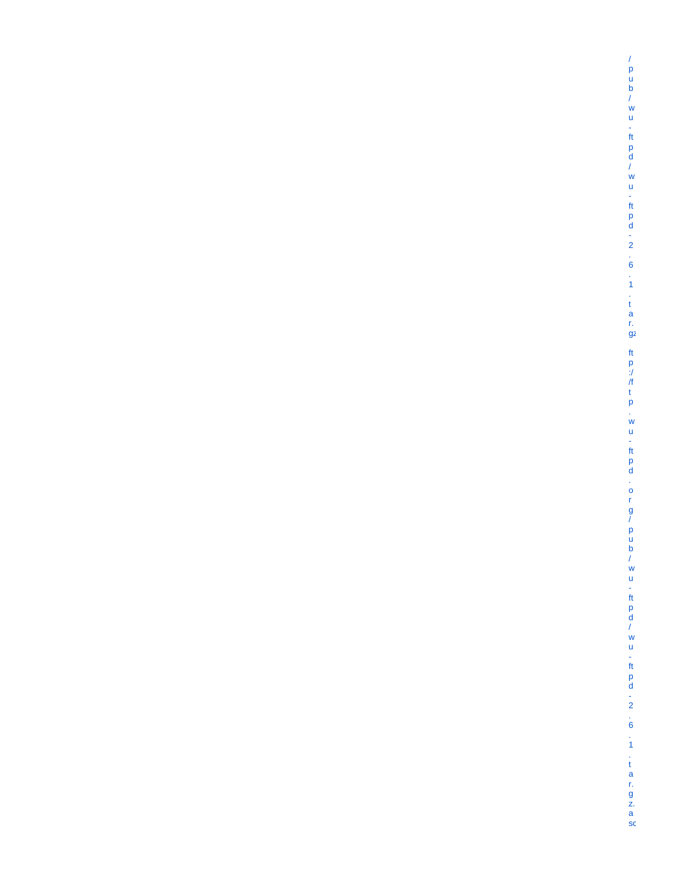[/pub/wu](ftp://ftp.wu-ftpd.org/pub/wu-ftpd/wu-ftpd-2.6.1.tar.gz)[ftpd/wu](ftp://ftp.wu-ftpd.org/pub/wu-ftpd/wu-ftpd-2.6.1.tar.gz)[ftpd-2.6.1.ta](ftp://ftp.wu-ftpd.org/pub/wu-ftpd/wu-ftpd-2.6.1.tar.gz) [r.](ftp://ftp.wu-ftpd.org/pub/wu-ftpd/wu-ftpd-2.6.1.tar.gz) [gz](ftp://ftp.wu-ftpd.org/pub/wu-ftpd/wu-ftpd-2.6.1.tar.gz) ft<br>p [:/](ftp://ftp.wu-ftpd.org/pub/wu-ftpd/wu-ftpd-2.6.1.tar.gz.asc) [/ftp.wu](ftp://ftp.wu-ftpd.org/pub/wu-ftpd/wu-ftpd-2.6.1.tar.gz.asc)[ftpd.org/pub/wu](ftp://ftp.wu-ftpd.org/pub/wu-ftpd/wu-ftpd-2.6.1.tar.gz.asc)[ftpd/wu](ftp://ftp.wu-ftpd.org/pub/wu-ftpd/wu-ftpd-2.6.1.tar.gz.asc)[ftpd-2.6.1.ta](ftp://ftp.wu-ftpd.org/pub/wu-ftpd/wu-ftpd-2.6.1.tar.gz.asc) r.<br>g [z.](ftp://ftp.wu-ftpd.org/pub/wu-ftpd/wu-ftpd-2.6.1.tar.gz.asc) [a](ftp://ftp.wu-ftpd.org/pub/wu-ftpd/wu-ftpd-2.6.1.tar.gz.asc) [sc](ftp://ftp.wu-ftpd.org/pub/wu-ftpd/wu-ftpd-2.6.1.tar.gz.asc)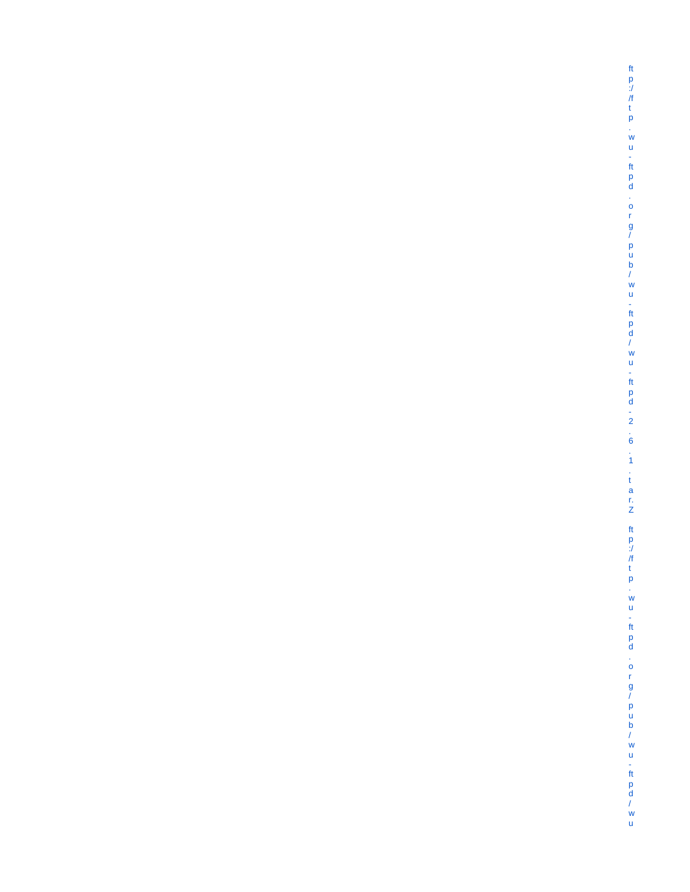|仕p://ftp.wu-ftpd.org/pub/wu-ftpd/wu-ftpd-2.6.1.tarN | ftp://ftp.wu-ftpd.org/pub/wu-ftpd/wu